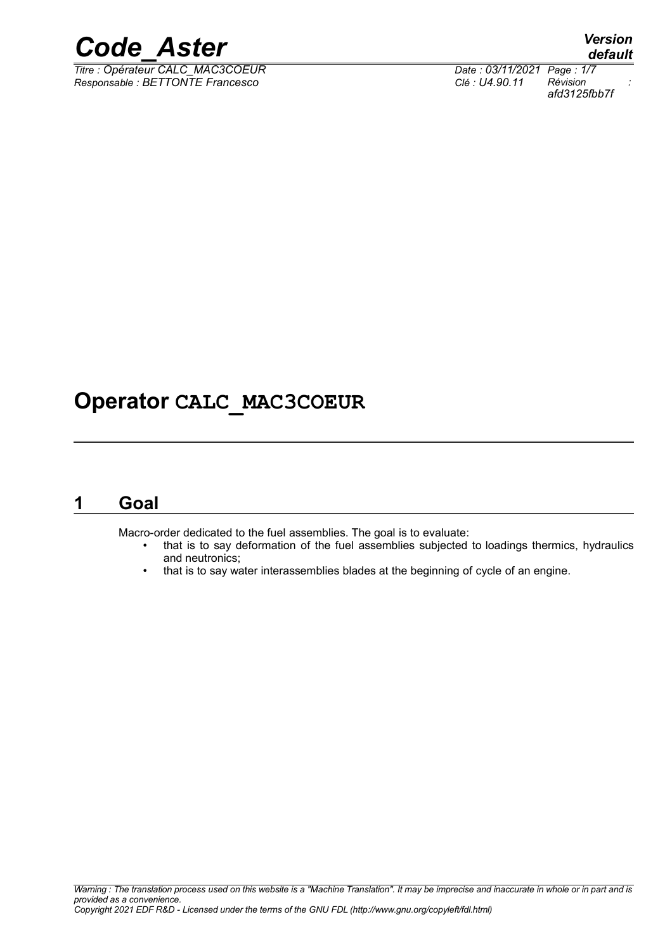

*Titre : Opérateur CALC\_MAC3COEUR Date : 03/11/2021 Page : 1/7 Responsable : BETTONTE Francesco Clé : U4.90.11 Révision :*

*default afd3125fbb7f*

## **Operator CALC\_MAC3COEUR**

### **1 Goal**

Macro-order dedicated to the fuel assemblies. The goal is to evaluate:

- that is to say deformation of the fuel assemblies subjected to loadings thermics, hydraulics and neutronics;
- that is to say water interassemblies blades at the beginning of cycle of an engine.
-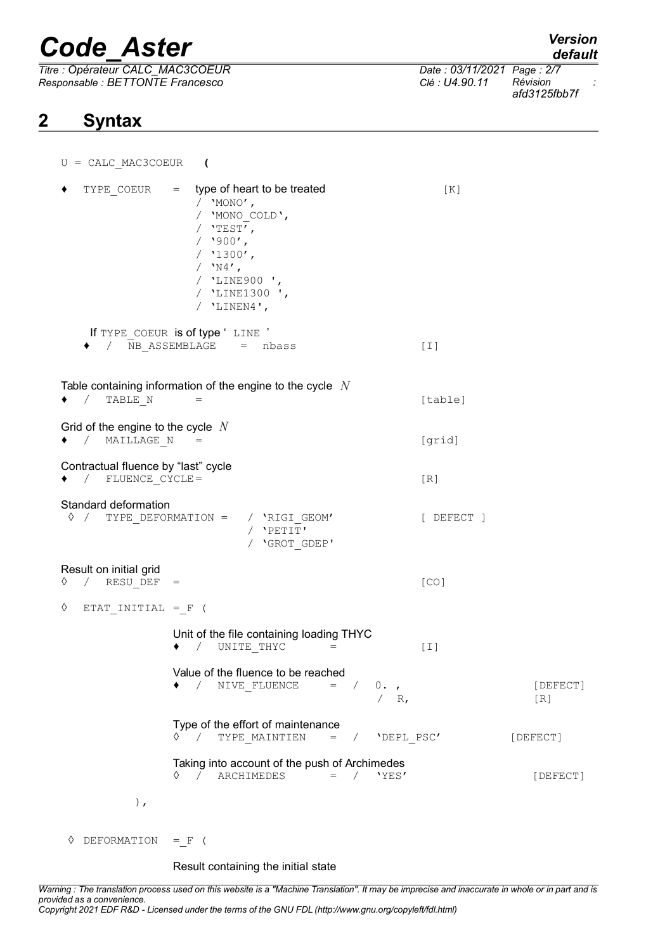*Titre : Opérateur CALC\_MAC3COEUR Date : 03/11/2021 Page : 2/7 Responsable : BETTONTE Francesco Clé : U4.90.11 Révision :*

### **2 Syntax**

*default*

*afd3125fbb7f*

| $U = CALC MAC3COEUR$                                            | $\overline{\mathcal{L}}$                                                                                                                                                             |                 |
|-----------------------------------------------------------------|--------------------------------------------------------------------------------------------------------------------------------------------------------------------------------------|-----------------|
| TYPE COEUR                                                      | $=$ type of heart to be treated<br>[K]<br>/ $'MONO'$ ,<br>/ 'MONO COLD',<br>/ $'$ TEST',<br>$/$ '900',<br>$/$ '1300',<br>/ $'$ N4',<br>/ 'LINE900',<br>/ 'LINE1300 ',<br>/ 'LINEN4', |                 |
|                                                                 | If TYPE COEUR is of type 'LINE '<br>NB ASSEMBLAGE = nbass<br>$[1]$                                                                                                                   |                 |
| TABLE N<br>$\sqrt{2}$                                           | Table containing information of the engine to the cycle $N$<br>[table]<br>$=$                                                                                                        |                 |
| Grid of the engine to the cycle $N$<br>MAILLAGE N<br>$\sqrt{2}$ | [grid]<br>$\hspace*{0.4em} = \hspace*{0.4em}$                                                                                                                                        |                 |
| Contractual fluence by "last" cycle<br>/ FLUENCE CYCLE=         | [R]                                                                                                                                                                                  |                 |
| Standard deformation                                            | $\Diamond$ / TYPE DEFORMATION = / 'RIGI GEOM'<br>[ DEFECT ]<br>/ 'PETIT'<br>/ 'GROT GDEP'                                                                                            |                 |
| Result on initial grid<br>◊ / RESU DEF                          | [CO]<br>$=$                                                                                                                                                                          |                 |
| ♦<br>ETAT INITIAL $=$ $F$ (                                     |                                                                                                                                                                                      |                 |
|                                                                 | Unit of the file containing loading THYC<br>$\bullet$ / UNITE THYC<br>$[1]$<br>$=$                                                                                                   |                 |
|                                                                 | Value of the fluence to be reached<br>NIVE FLUENCE<br>$\frac{1}{2}$<br>$=$<br>$0.$ ,<br>/ $R,$                                                                                       | [DEFECT]<br>[R] |
|                                                                 | Type of the effort of maintenance<br>TYPE MAINTIEN<br>$\lozenge$ /<br>'DEPL PSC'<br>$\mathbf{r} = \mathbf{r}$<br>$\frac{1}{2}$                                                       | [DEFECT]        |
|                                                                 | Taking into account of the push of Archimedes<br>$\texttt{ARCHIMEDES}$ = /<br>$\begin{array}{ccc} \diamond & \circ & \circ \end{array}$<br>'YES'                                     | [DEFECT]        |
| $)$ ,                                                           |                                                                                                                                                                                      |                 |

◊ DEFORMATION =\_F (

#### Result containing the initial state

*Warning : The translation process used on this website is a "Machine Translation". It may be imprecise and inaccurate in whole or in part and is provided as a convenience. Copyright 2021 EDF R&D - Licensed under the terms of the GNU FDL (http://www.gnu.org/copyleft/fdl.html)*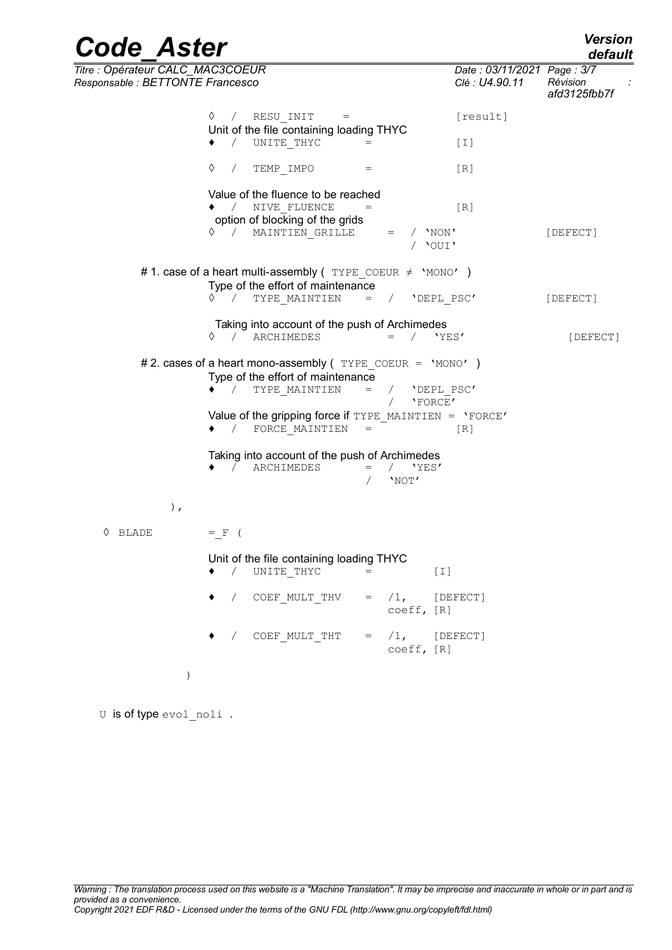| <b>Code Aster</b>                                                    |                                                                                                                       |                                              |                                              | <b>Version</b><br>default |
|----------------------------------------------------------------------|-----------------------------------------------------------------------------------------------------------------------|----------------------------------------------|----------------------------------------------|---------------------------|
| Titre : Opérateur CALC_MAC3COEUR<br>Responsable : BETTONTE Francesco |                                                                                                                       |                                              | Date: 03/11/2021 Page: 3/7<br>Clé : U4.90.11 | Révision<br>afd3125fbb7f  |
|                                                                      | RESU INIT<br>♦<br>$\sqrt{2}$                                                                                          |                                              | [result]                                     |                           |
|                                                                      | Unit of the file containing loading THYC<br>$\frac{1}{2}$<br>UNITE THYC                                               |                                              | [T]                                          |                           |
|                                                                      | ♦<br>TEMP IMPO<br>$\sqrt{2}$                                                                                          | $=$                                          | [R]                                          |                           |
|                                                                      | Value of the fluence to be reached<br>◆ / NIVE FLUENCE<br>option of blocking of the grids                             | $=$                                          | [R]                                          |                           |
|                                                                      | 0 / MAINTIEN GRILLE                                                                                                   | $/$ 'NON'<br>$=$<br>/ 'OUI'                  |                                              | [DEFECT]                  |
|                                                                      | #1. case of a heart multi-assembly ( $TYPE$ COEUR $\neq$ 'MONO')                                                      |                                              |                                              |                           |
|                                                                      | Type of the effort of maintenance<br>TYPE MAINTIEN<br>$\begin{array}{ccc} \diamond & \diamond & \diamond \end{array}$ | $=$ / 'DEPL PSC'                             |                                              | [DEFECT]                  |
|                                                                      | Taking into account of the push of Archimedes<br>♦ / ARCHIMEDES                                                       | $/$ 'YES'<br>$=$                             |                                              | [DEFECT]                  |
|                                                                      | # 2. cases of a heart mono-assembly ( $TYPE$ COEUR = 'MONO')<br>Type of the effort of maintenance                     |                                              |                                              |                           |
|                                                                      | ◆ / TYPE MAINTIEN                                                                                                     | $=$<br>/ 'DEPL PSC'<br>'FORCE'<br>$\sqrt{2}$ |                                              |                           |
|                                                                      | Value of the gripping force if TYPE MAINTIEN = $'$ FORCE'<br>◆ / FORCE MAINTIEN                                       | $\hspace{1.6cm} = \hspace{1.6cm}$            | [R]                                          |                           |
|                                                                      | Taking into account of the push of Archimedes<br>ARCHIMEDES<br>$\sqrt{2}$                                             | $=$ / $'YES'$<br>'NOT'                       |                                              |                           |
| $)$ ,                                                                |                                                                                                                       |                                              |                                              |                           |
| ◊ BLADE                                                              | $=$ $F$ (                                                                                                             |                                              |                                              |                           |
|                                                                      | Unit of the file containing loading THYC<br>UNITE THYC<br>$\sqrt{2}$                                                  | $[1]$                                        |                                              |                           |
|                                                                      | / COEF MULT THV                                                                                                       | $=$ $/1$ , [DEFECT]<br>coeff, [R]            |                                              |                           |
|                                                                      | COEF MULT THT                                                                                                         | $=$ $/1$ , [DEFECT]<br>coeff, [R]            |                                              |                           |
| $\left( \right)$                                                     |                                                                                                                       |                                              |                                              |                           |

U is of type evol\_noli.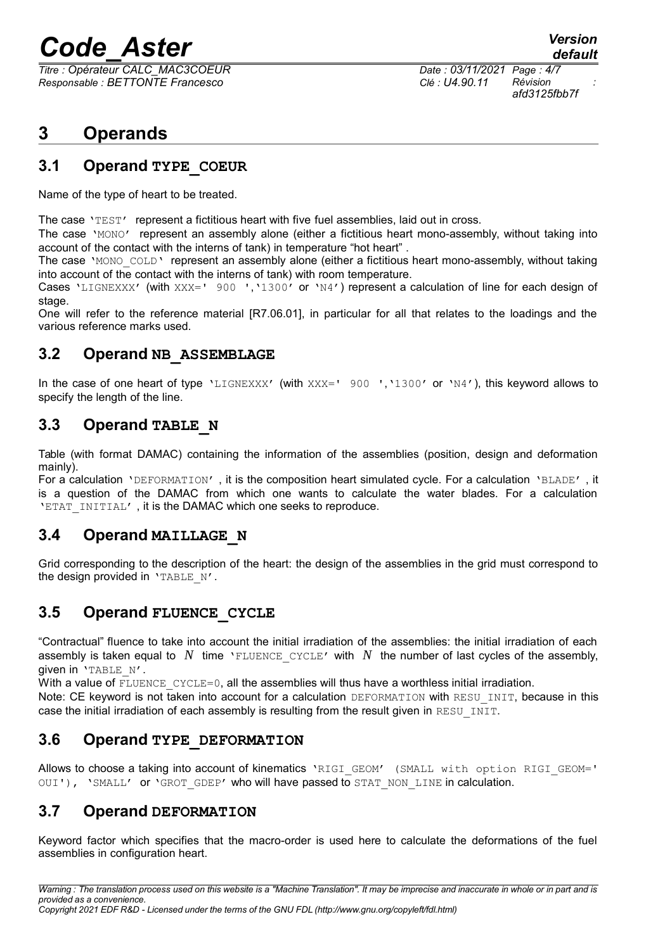*Titre : Opérateur CALC\_MAC3COEUR Date : 03/11/2021 Page : 4/7 Responsable : BETTONTE Francesco Clé : U4.90.11 Révision :*

*afd3125fbb7f*

### **3 Operands**

#### **3.1 Operand TYPE\_COEUR**

Name of the type of heart to be treated.

The case 'TEST' represent a fictitious heart with five fuel assemblies, laid out in cross.

The case 'MONO' represent an assembly alone (either a fictitious heart mono-assembly, without taking into account of the contact with the interns of tank) in temperature "hot heart" .

The case 'MONO COLD' represent an assembly alone (either a fictitious heart mono-assembly, without taking into account of the contact with the interns of tank) with room temperature.

Cases 'LIGNEXXX' (with XXX=' 900 ', '1300' or 'N4') represent a calculation of line for each design of stage.

One will refer to the reference material [R7.06.01], in particular for all that relates to the loadings and the various reference marks used.

#### **3.2 Operand NB\_ASSEMBLAGE**

In the case of one heart of type 'LIGNEXXX' (with XXX=' 900 ','1300' or 'N4'), this keyword allows to specify the length of the line.

#### **3.3 Operand TABLE\_N**

Table (with format DAMAC) containing the information of the assemblies (position, design and deformation mainly).

For a calculation 'DEFORMATION' , it is the composition heart simulated cycle. For a calculation 'BLADE' , it is a question of the DAMAC from which one wants to calculate the water blades. For a calculation 'ETAT INITIAL', it is the DAMAC which one seeks to reproduce.

#### **3.4 Operand MAILLAGE\_N**

Grid corresponding to the description of the heart: the design of the assemblies in the grid must correspond to the design provided in 'TABLE N'.

#### **3.5 Operand FLUENCE\_CYCLE**

"Contractual" fluence to take into account the initial irradiation of the assemblies: the initial irradiation of each assembly is taken equal to  $N$  time 'FLUENCE CYCLE' with  $N$  the number of last cycles of the assembly, given in 'TABLE\_N'.

With a value of  $F\text{LUENCE}$   $CYCLE=0$ , all the assemblies will thus have a worthless initial irradiation.

Note: CE keyword is not taken into account for a calculation DEFORMATION with RESU INIT, because in this case the initial irradiation of each assembly is resulting from the result given in RESU INIT.

#### **3.6 Operand TYPE\_DEFORMATION**

Allows to choose a taking into account of kinematics 'RIGI\_GEOM' (SMALL with option RIGI\_GEOM=' OUI'), 'SMALL' or 'GROT GDEP' who will have passed to STAT NON LINE in calculation.

#### **3.7 Operand DEFORMATION**

Keyword factor which specifies that the macro-order is used here to calculate the deformations of the fuel assemblies in configuration heart.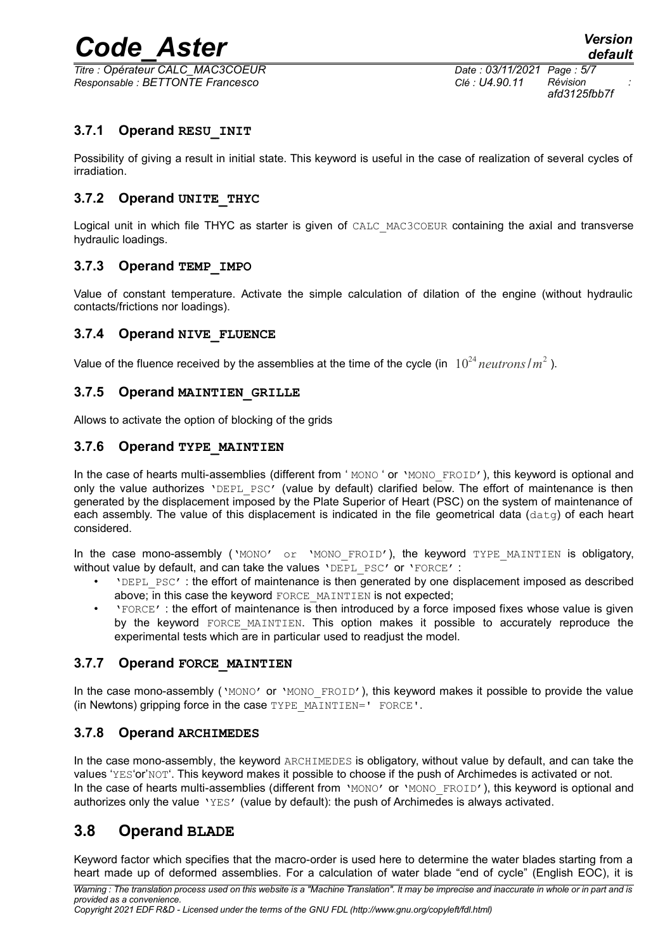*Titre : Opérateur CALC\_MAC3COEUR Date : 03/11/2021 Page : 5/7 Responsable : BETTONTE Francesco Clé : U4.90.11 Révision :*

*afd3125fbb7f*

#### **3.7.1 Operand RESU\_INIT**

Possibility of giving a result in initial state. This keyword is useful in the case of realization of several cycles of irradiation.

#### **3.7.2 Operand UNITE\_THYC**

Logical unit in which file THYC as starter is given of CALC\_MAC3COEUR containing the axial and transverse hydraulic loadings.

#### **3.7.3 Operand TEMP\_IMPO**

Value of constant temperature. Activate the simple calculation of dilation of the engine (without hydraulic contacts/frictions nor loadings).

#### <span id="page-4-2"></span>**3.7.4 Operand NIVE\_FLUENCE**

Value of the fluence received by the assemblies at the time of the cycle (in  $10^{24}$  *neutrons* /  $m^2$  ).

#### **3.7.5 Operand MAINTIEN\_GRILLE**

Allows to activate the option of blocking of the grids

#### <span id="page-4-1"></span>**3.7.6 Operand TYPE\_MAINTIEN**

In the case of hearts multi-assemblies (different from 'MONO ' or 'MONO FROID'), this keyword is optional and only the value authorizes 'DEPL PSC' (value by default) clarified below. The effort of maintenance is then generated by the displacement imposed by the Plate Superior of Heart (PSC) on the system of maintenance of each assembly. The value of this displacement is indicated in the file geometrical data ( $data$ ) of each heart considered.

In the case mono-assembly ('MONO' or 'MONO FROID'), the keyword TYPE MAINTIEN is obligatory, without value by default, and can take the values 'DEPL PSC' or 'FORCE' :

- 'DEPL\_PSC' : the effort of maintenance is then generated by one displacement imposed as described above; in this case the keyword FORCE\_MAINTIEN is not expected;
- 'FORCE' : the effort of maintenance is then introduced by a force imposed fixes whose value is given by the keyword FORCE MAINTIEN. This option makes it possible to accurately reproduce the experimental tests which are in particular used to readjust the model.

#### **3.7.7 Operand FORCE\_MAINTIEN**

In the case mono-assembly ('MONO' or 'MONO\_FROID'), this keyword makes it possible to provide the value (in Newtons) gripping force in the case TYPE\_MAINTIEN=' FORCE'.

#### <span id="page-4-0"></span>**3.7.8 Operand ARCHIMEDES**

In the case mono-assembly, the keyword ARCHIMEDES is obligatory, without value by default, and can take the values 'YES'or'NOT'. This keyword makes it possible to choose if the push of Archimedes is activated or not. In the case of hearts multi-assemblies (different from 'MONO' or 'MONO\_FROID'), this keyword is optional and authorizes only the value 'YES' (value by default): the push of Archimedes is always activated.

#### **3.8 Operand BLADE**

Keyword factor which specifies that the macro-order is used here to determine the water blades starting from a heart made up of deformed assemblies. For a calculation of water blade "end of cycle" (English EOC), it is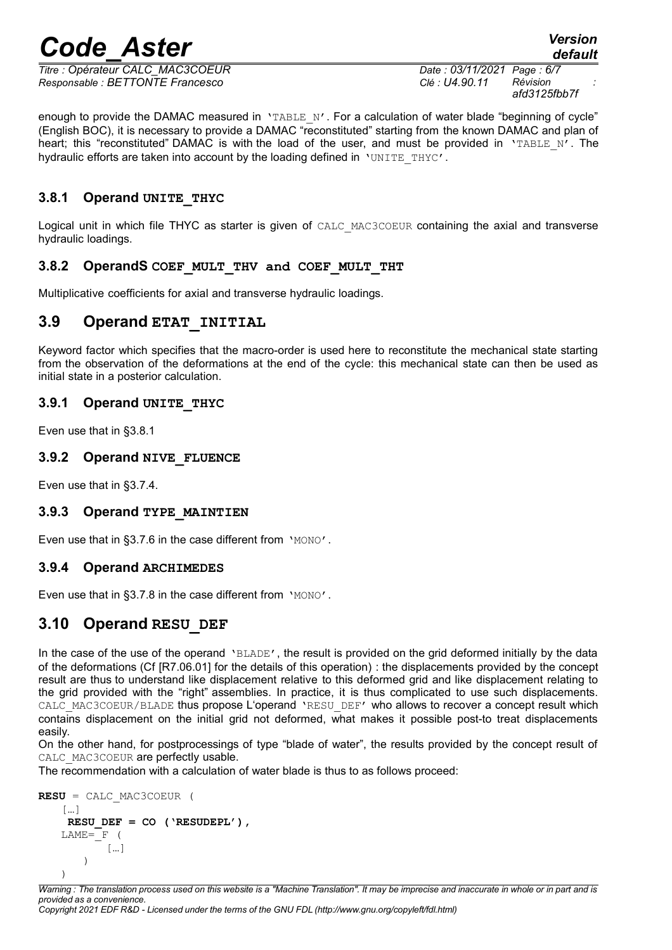*Titre : Opérateur CALC\_MAC3COEUR Date : 03/11/2021 Page : 6/7 Responsable : BETTONTE Francesco Clé : U4.90.11 Révision :*

*afd3125fbb7f*

enough to provide the DAMAC measured in 'TABLE N'. For a calculation of water blade "beginning of cycle" (English BOC), it is necessary to provide a DAMAC "reconstituted" starting from the known DAMAC and plan of heart; this "reconstituted" DAMAC is with the load of the user, and must be provided in 'TABLE N'. The hydraulic efforts are taken into account by the loading defined in 'UNITE\_THYC'.

#### <span id="page-5-0"></span>**3.8.1 Operand UNITE\_THYC**

Logical unit in which file THYC as starter is given of CALC\_MAC3COEUR containing the axial and transverse hydraulic loadings.

#### **3.8.2 OperandS COEF\_MULT\_THV and COEF\_MULT\_THT**

Multiplicative coefficients for axial and transverse hydraulic loadings.

#### **3.9 Operand ETAT\_INITIAL**

Keyword factor which specifies that the macro-order is used here to reconstitute the mechanical state starting from the observation of the deformations at the end of the cycle: this mechanical state can then be used as initial state in a posterior calculation.

#### **3.9.1 Operand UNITE\_THYC**

Even use that in [§3.8.1](#page-5-0)

#### **3.9.2 Operand NIVE\_FLUENCE**

Even use that in [§3.7.4.](#page-4-2)

#### **3.9.3 Operand TYPE\_MAINTIEN**

Even use that in [§3.7.6](#page-4-1) in the case different from 'MONO'.

#### **3.9.4 Operand ARCHIMEDES**

Even use that in [§3.7.8](#page-4-0) in the case different from 'MONO'.

#### **3.10 Operand RESU\_DEF**

In the case of the use of the operand 'BLADE', the result is provided on the grid deformed initially by the data of the deformations (Cf [R7.06.01] for the details of this operation) : the displacements provided by the concept result are thus to understand like displacement relative to this deformed grid and like displacement relating to the grid provided with the "right" assemblies. In practice, it is thus complicated to use such displacements. CALC\_MAC3COEUR/BLADE thus propose L'operand 'RESU\_DEF' who allows to recover a concept result which contains displacement on the initial grid not deformed, what makes it possible post-to treat displacements easily.

On the other hand, for postprocessings of type "blade of water", the results provided by the concept result of CALC\_MAC3COEUR are perfectly usable.

The recommendation with a calculation of water blade is thus to as follows proceed:

```
RESU = CALC_MAC3COEUR (
 […]
 RESU_DEF = CO ('RESUDEPL'),
LAME = F (
       […]
    )
)
```
*Warning : The translation process used on this website is a "Machine Translation". It may be imprecise and inaccurate in whole or in part and is provided as a convenience. Copyright 2021 EDF R&D - Licensed under the terms of the GNU FDL (http://www.gnu.org/copyleft/fdl.html)*